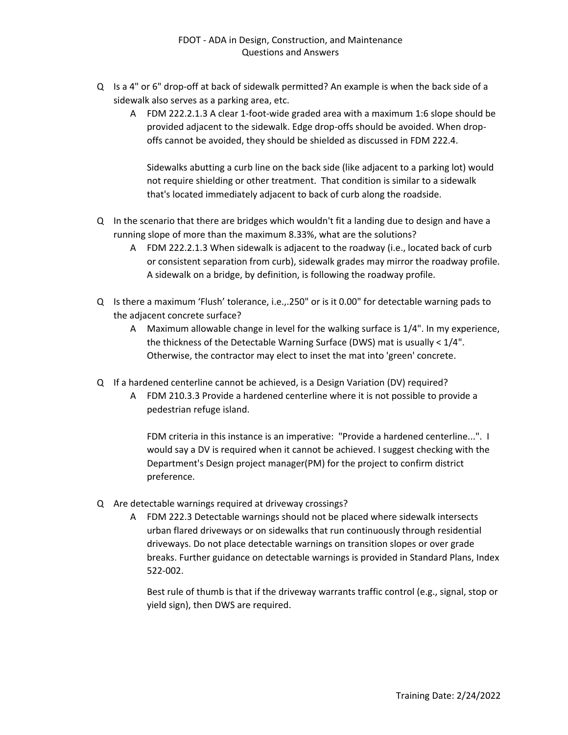- Q Is a 4" or 6" drop-off at back of sidewalk permitted? An example is when the back side of a sidewalk also serves as a parking area, etc.
	- A FDM 222.2.1.3 A clear 1-foot-wide graded area with a maximum 1:6 slope should be provided adjacent to the sidewalk. Edge drop-offs should be avoided. When dropoffs cannot be avoided, they should be shielded as discussed in FDM 222.4.

Sidewalks abutting a curb line on the back side (like adjacent to a parking lot) would not require shielding or other treatment. That condition is similar to a sidewalk that's located immediately adjacent to back of curb along the roadside.

- Q In the scenario that there are bridges which wouldn't fit a landing due to design and have a running slope of more than the maximum 8.33%, what are the solutions?
	- A FDM 222.2.1.3 When sidewalk is adjacent to the roadway (i.e., located back of curb or consistent separation from curb), sidewalk grades may mirror the roadway profile. A sidewalk on a bridge, by definition, is following the roadway profile.
- Q Is there a maximum 'Flush' tolerance, i.e.,.250" or is it 0.00" for detectable warning pads to the adjacent concrete surface?
	- A Maximum allowable change in level for the walking surface is 1/4". In my experience, the thickness of the Detectable Warning Surface (DWS) mat is usually < 1/4". Otherwise, the contractor may elect to inset the mat into 'green' concrete.
- Q If a hardened centerline cannot be achieved, is a Design Variation (DV) required?
	- A FDM 210.3.3 Provide a hardened centerline where it is not possible to provide a pedestrian refuge island.

FDM criteria in this instance is an imperative: "Provide a hardened centerline...". I would say a DV is required when it cannot be achieved. I suggest checking with the Department's Design project manager(PM) for the project to confirm district preference.

- Q Are detectable warnings required at driveway crossings?
	- A FDM 222.3 Detectable warnings should not be placed where sidewalk intersects urban flared driveways or on sidewalks that run continuously through residential driveways. Do not place detectable warnings on transition slopes or over grade breaks. Further guidance on detectable warnings is provided in Standard Plans, Index 522-002.

Best rule of thumb is that if the driveway warrants traffic control (e.g., signal, stop or yield sign), then DWS are required.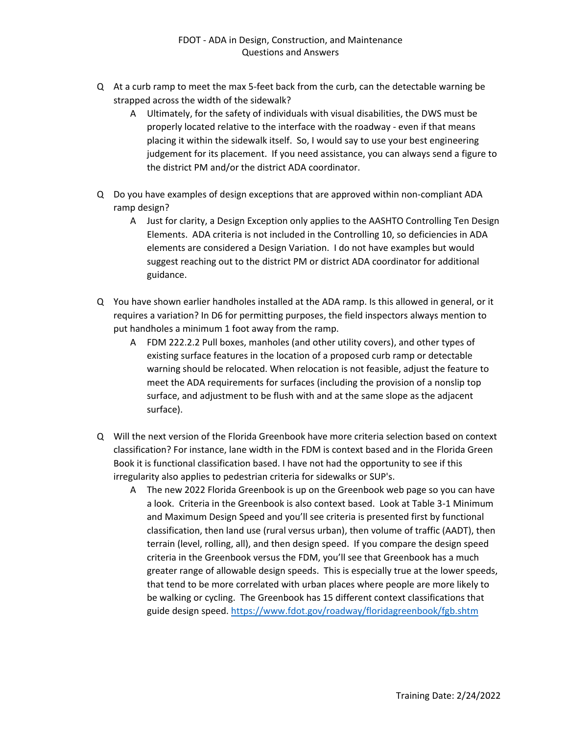- Q At a curb ramp to meet the max 5-feet back from the curb, can the detectable warning be strapped across the width of the sidewalk?
	- A Ultimately, for the safety of individuals with visual disabilities, the DWS must be properly located relative to the interface with the roadway - even if that means placing it within the sidewalk itself. So, I would say to use your best engineering judgement for its placement. If you need assistance, you can always send a figure to the district PM and/or the district ADA coordinator.
- Q Do you have examples of design exceptions that are approved within non-compliant ADA ramp design?
	- A Just for clarity, a Design Exception only applies to the AASHTO Controlling Ten Design Elements. ADA criteria is not included in the Controlling 10, so deficiencies in ADA elements are considered a Design Variation. I do not have examples but would suggest reaching out to the district PM or district ADA coordinator for additional guidance.
- Q You have shown earlier handholes installed at the ADA ramp. Is this allowed in general, or it requires a variation? In D6 for permitting purposes, the field inspectors always mention to put handholes a minimum 1 foot away from the ramp.
	- A FDM 222.2.2 Pull boxes, manholes (and other utility covers), and other types of existing surface features in the location of a proposed curb ramp or detectable warning should be relocated. When relocation is not feasible, adjust the feature to meet the ADA requirements for surfaces (including the provision of a nonslip top surface, and adjustment to be flush with and at the same slope as the adjacent surface).
- Q Will the next version of the Florida Greenbook have more criteria selection based on context classification? For instance, lane width in the FDM is context based and in the Florida Green Book it is functional classification based. I have not had the opportunity to see if this irregularity also applies to pedestrian criteria for sidewalks or SUP's.
	- A The new 2022 Florida Greenbook is up on the Greenbook web page so you can have a look. Criteria in the Greenbook is also context based. Look at Table 3-1 Minimum and Maximum Design Speed and you'll see criteria is presented first by functional classification, then land use (rural versus urban), then volume of traffic (AADT), then terrain (level, rolling, all), and then design speed. If you compare the design speed criteria in the Greenbook versus the FDM, you'll see that Greenbook has a much greater range of allowable design speeds. This is especially true at the lower speeds, that tend to be more correlated with urban places where people are more likely to be walking or cycling. The Greenbook has 15 different context classifications that guide design speed.<https://www.fdot.gov/roadway/floridagreenbook/fgb.shtm>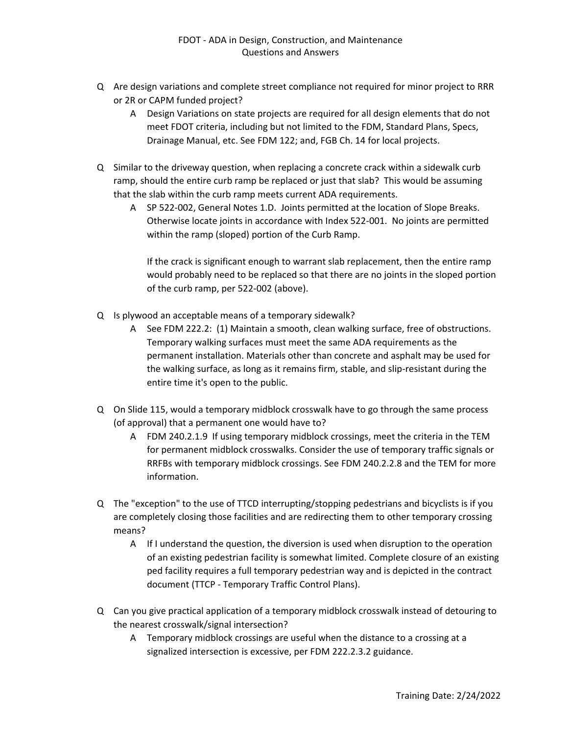- Q Are design variations and complete street compliance not required for minor project to RRR or 2R or CAPM funded project?
	- A Design Variations on state projects are required for all design elements that do not meet FDOT criteria, including but not limited to the FDM, Standard Plans, Specs, Drainage Manual, etc. See FDM 122; and, FGB Ch. 14 for local projects.
- Q Similar to the driveway question, when replacing a concrete crack within a sidewalk curb ramp, should the entire curb ramp be replaced or just that slab? This would be assuming that the slab within the curb ramp meets current ADA requirements.
	- A SP 522-002, General Notes 1.D. Joints permitted at the location of Slope Breaks. Otherwise locate joints in accordance with Index 522-001. No joints are permitted within the ramp (sloped) portion of the Curb Ramp.

If the crack is significant enough to warrant slab replacement, then the entire ramp would probably need to be replaced so that there are no joints in the sloped portion of the curb ramp, per 522-002 (above).

- Q Is plywood an acceptable means of a temporary sidewalk?
	- A See FDM 222.2: (1) Maintain a smooth, clean walking surface, free of obstructions. Temporary walking surfaces must meet the same ADA requirements as the permanent installation. Materials other than concrete and asphalt may be used for the walking surface, as long as it remains firm, stable, and slip-resistant during the entire time it's open to the public.
- Q On Slide 115, would a temporary midblock crosswalk have to go through the same process (of approval) that a permanent one would have to?
	- A FDM 240.2.1.9 If using temporary midblock crossings, meet the criteria in the TEM for permanent midblock crosswalks. Consider the use of temporary traffic signals or RRFBs with temporary midblock crossings. See FDM 240.2.2.8 and the TEM for more information.
- Q The "exception" to the use of TTCD interrupting/stopping pedestrians and bicyclists is if you are completely closing those facilities and are redirecting them to other temporary crossing means?
	- A If I understand the question, the diversion is used when disruption to the operation of an existing pedestrian facility is somewhat limited. Complete closure of an existing ped facility requires a full temporary pedestrian way and is depicted in the contract document (TTCP - Temporary Traffic Control Plans).
- Q Can you give practical application of a temporary midblock crosswalk instead of detouring to the nearest crosswalk/signal intersection?
	- A Temporary midblock crossings are useful when the distance to a crossing at a signalized intersection is excessive, per FDM 222.2.3.2 guidance.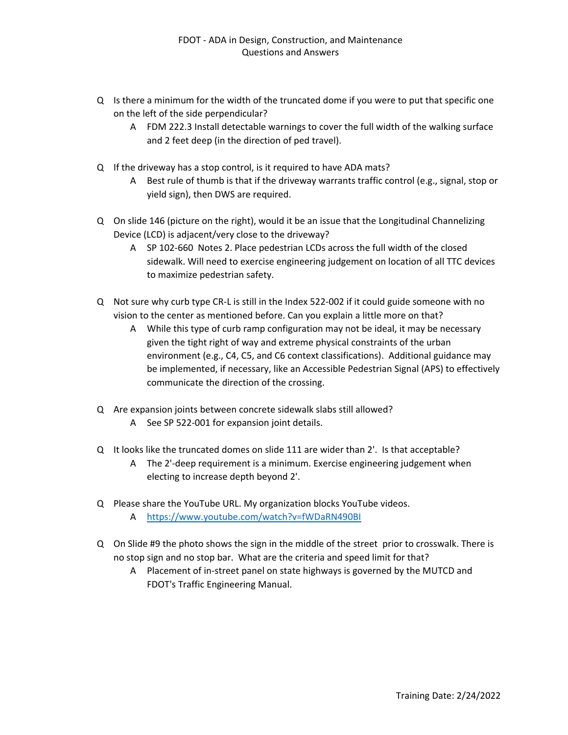- Q Is there a minimum for the width of the truncated dome if you were to put that specific one on the left of the side perpendicular?
	- A FDM 222.3 Install detectable warnings to cover the full width of the walking surface and 2 feet deep (in the direction of ped travel).
- Q If the driveway has a stop control, is it required to have ADA mats?
	- A Best rule of thumb is that if the driveway warrants traffic control (e.g., signal, stop or yield sign), then DWS are required.
- Q On slide 146 (picture on the right), would it be an issue that the Longitudinal Channelizing Device (LCD) is adjacent/very close to the driveway?
	- A SP 102-660 Notes 2. Place pedestrian LCDs across the full width of the closed sidewalk. Will need to exercise engineering judgement on location of all TTC devices to maximize pedestrian safety.
- Q Not sure why curb type CR-L is still in the Index 522-002 if it could guide someone with no vision to the center as mentioned before. Can you explain a little more on that?
	- A While this type of curb ramp configuration may not be ideal, it may be necessary given the tight right of way and extreme physical constraints of the urban environment (e.g., C4, C5, and C6 context classifications). Additional guidance may be implemented, if necessary, like an Accessible Pedestrian Signal (APS) to effectively communicate the direction of the crossing.
- Q Are expansion joints between concrete sidewalk slabs still allowed? A See SP 522-001 for expansion joint details.
- Q It looks like the truncated domes on slide 111 are wider than 2'. Is that acceptable?
	- A The 2'-deep requirement is a minimum. Exercise engineering judgement when electing to increase depth beyond 2'.
- Q Please share the YouTube URL. My organization blocks YouTube videos. A <https://www.youtube.com/watch?v=fWDaRN490BI>
- Q On Slide #9 the photo shows the sign in the middle of the street prior to crosswalk. There is no stop sign and no stop bar. What are the criteria and speed limit for that?
	- A Placement of in-street panel on state highways is governed by the MUTCD and FDOT's Traffic Engineering Manual.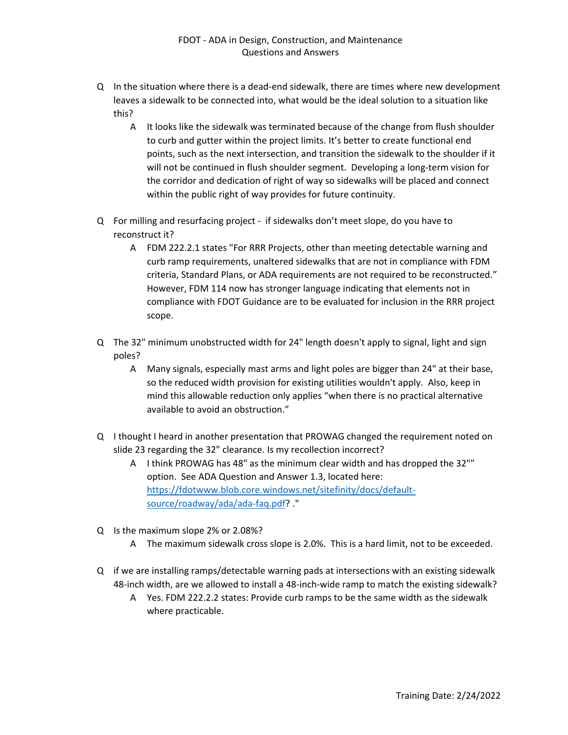- Q In the situation where there is a dead-end sidewalk, there are times where new development leaves a sidewalk to be connected into, what would be the ideal solution to a situation like this?
	- A It looks like the sidewalk was terminated because of the change from flush shoulder to curb and gutter within the project limits. It's better to create functional end points, such as the next intersection, and transition the sidewalk to the shoulder if it will not be continued in flush shoulder segment. Developing a long-term vision for the corridor and dedication of right of way so sidewalks will be placed and connect within the public right of way provides for future continuity.
- Q For milling and resurfacing project if sidewalks don't meet slope, do you have to reconstruct it?
	- A FDM 222.2.1 states "For RRR Projects, other than meeting detectable warning and curb ramp requirements, unaltered sidewalks that are not in compliance with FDM criteria, Standard Plans, or ADA requirements are not required to be reconstructed." However, FDM 114 now has stronger language indicating that elements not in compliance with FDOT Guidance are to be evaluated for inclusion in the RRR project scope.
- Q The 32" minimum unobstructed width for 24" length doesn't apply to signal, light and sign poles?
	- A Many signals, especially mast arms and light poles are bigger than 24" at their base, so the reduced width provision for existing utilities wouldn't apply. Also, keep in mind this allowable reduction only applies "when there is no practical alternative available to avoid an obstruction."
- Q I thought I heard in another presentation that PROWAG changed the requirement noted on slide 23 regarding the 32" clearance. Is my recollection incorrect?
	- A I think PROWAG has 48" as the minimum clear width and has dropped the 32"" option. See ADA Question and Answer 1.3, located here: [https://fdotwww.blob.core.windows.net/sitefinity/docs/default](https://fdotwww.blob.core.windows.net/sitefinity/docs/default-source/roadway/ada/ada-faq.pdf)[source/roadway/ada/ada-faq.pdf?](https://fdotwww.blob.core.windows.net/sitefinity/docs/default-source/roadway/ada/ada-faq.pdf) ."
- Q Is the maximum slope 2% or 2.08%?
	- A The maximum sidewalk cross slope is 2.0%. This is a hard limit, not to be exceeded.
- Q if we are installing ramps/detectable warning pads at intersections with an existing sidewalk 48-inch width, are we allowed to install a 48-inch-wide ramp to match the existing sidewalk?
	- A Yes. FDM 222.2.2 states: Provide curb ramps to be the same width as the sidewalk where practicable.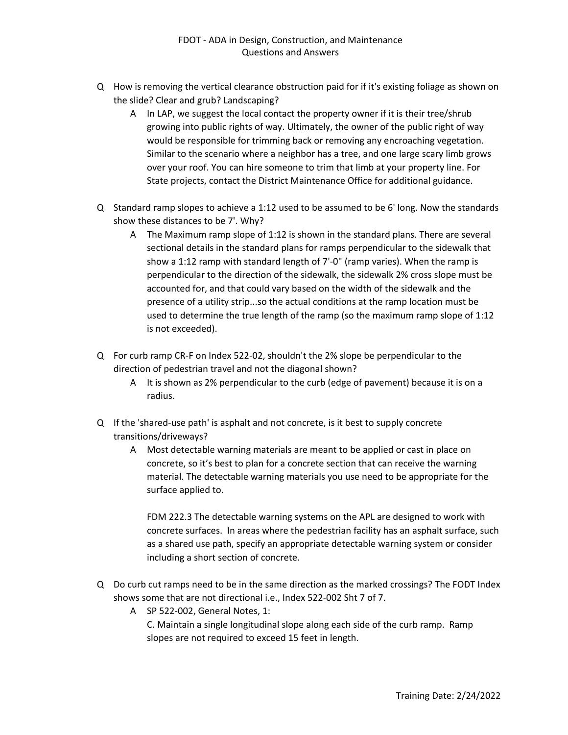- Q How is removing the vertical clearance obstruction paid for if it's existing foliage as shown on the slide? Clear and grub? Landscaping?
	- A In LAP, we suggest the local contact the property owner if it is their tree/shrub growing into public rights of way. Ultimately, the owner of the public right of way would be responsible for trimming back or removing any encroaching vegetation. Similar to the scenario where a neighbor has a tree, and one large scary limb grows over your roof. You can hire someone to trim that limb at your property line. For State projects, contact the District Maintenance Office for additional guidance.
- Q Standard ramp slopes to achieve a 1:12 used to be assumed to be 6' long. Now the standards show these distances to be 7'. Why?
	- A The Maximum ramp slope of 1:12 is shown in the standard plans. There are several sectional details in the standard plans for ramps perpendicular to the sidewalk that show a 1:12 ramp with standard length of 7'-0" (ramp varies). When the ramp is perpendicular to the direction of the sidewalk, the sidewalk 2% cross slope must be accounted for, and that could vary based on the width of the sidewalk and the presence of a utility strip...so the actual conditions at the ramp location must be used to determine the true length of the ramp (so the maximum ramp slope of 1:12 is not exceeded).
- Q For curb ramp CR-F on Index 522-02, shouldn't the 2% slope be perpendicular to the direction of pedestrian travel and not the diagonal shown?
	- A It is shown as 2% perpendicular to the curb (edge of pavement) because it is on a radius.
- Q If the 'shared-use path' is asphalt and not concrete, is it best to supply concrete transitions/driveways?
	- A Most detectable warning materials are meant to be applied or cast in place on concrete, so it's best to plan for a concrete section that can receive the warning material. The detectable warning materials you use need to be appropriate for the surface applied to.

FDM 222.3 The detectable warning systems on the APL are designed to work with concrete surfaces. In areas where the pedestrian facility has an asphalt surface, such as a shared use path, specify an appropriate detectable warning system or consider including a short section of concrete.

- Q Do curb cut ramps need to be in the same direction as the marked crossings? The FODT Index shows some that are not directional i.e., Index 522-002 Sht 7 of 7.
	- A SP 522-002, General Notes, 1: C. Maintain a single longitudinal slope along each side of the curb ramp. Ramp slopes are not required to exceed 15 feet in length.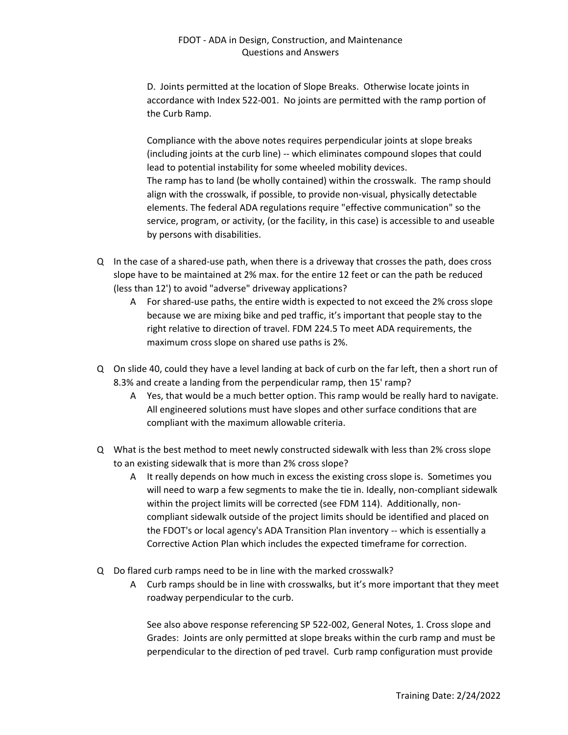D. Joints permitted at the location of Slope Breaks. Otherwise locate joints in accordance with Index 522-001. No joints are permitted with the ramp portion of the Curb Ramp.

Compliance with the above notes requires perpendicular joints at slope breaks (including joints at the curb line) -- which eliminates compound slopes that could lead to potential instability for some wheeled mobility devices. The ramp has to land (be wholly contained) within the crosswalk. The ramp should align with the crosswalk, if possible, to provide non-visual, physically detectable elements. The federal ADA regulations require "effective communication" so the service, program, or activity, (or the facility, in this case) is accessible to and useable by persons with disabilities.

- Q In the case of a shared-use path, when there is a driveway that crosses the path, does cross slope have to be maintained at 2% max. for the entire 12 feet or can the path be reduced (less than 12') to avoid "adverse" driveway applications?
	- A For shared-use paths, the entire width is expected to not exceed the 2% cross slope because we are mixing bike and ped traffic, it's important that people stay to the right relative to direction of travel. FDM 224.5 To meet ADA requirements, the maximum cross slope on shared use paths is 2%.
- Q On slide 40, could they have a level landing at back of curb on the far left, then a short run of 8.3% and create a landing from the perpendicular ramp, then 15' ramp?
	- A Yes, that would be a much better option. This ramp would be really hard to navigate. All engineered solutions must have slopes and other surface conditions that are compliant with the maximum allowable criteria.
- Q What is the best method to meet newly constructed sidewalk with less than 2% cross slope to an existing sidewalk that is more than 2% cross slope?
	- A It really depends on how much in excess the existing cross slope is. Sometimes you will need to warp a few segments to make the tie in. Ideally, non-compliant sidewalk within the project limits will be corrected (see FDM 114). Additionally, noncompliant sidewalk outside of the project limits should be identified and placed on the FDOT's or local agency's ADA Transition Plan inventory -- which is essentially a Corrective Action Plan which includes the expected timeframe for correction.
- Q Do flared curb ramps need to be in line with the marked crosswalk?
	- A Curb ramps should be in line with crosswalks, but it's more important that they meet roadway perpendicular to the curb.

See also above response referencing SP 522-002, General Notes, 1. Cross slope and Grades: Joints are only permitted at slope breaks within the curb ramp and must be perpendicular to the direction of ped travel. Curb ramp configuration must provide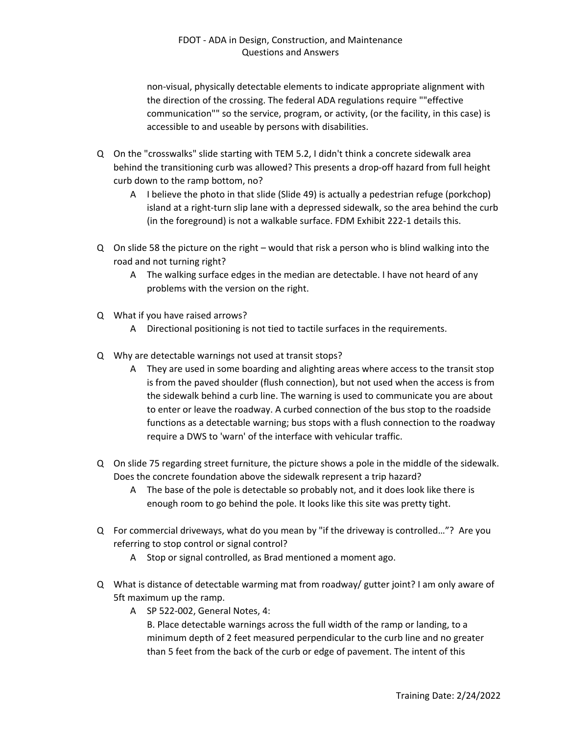non-visual, physically detectable elements to indicate appropriate alignment with the direction of the crossing. The federal ADA regulations require ""effective communication"" so the service, program, or activity, (or the facility, in this case) is accessible to and useable by persons with disabilities.

- Q On the "crosswalks" slide starting with TEM 5.2, I didn't think a concrete sidewalk area behind the transitioning curb was allowed? This presents a drop-off hazard from full height curb down to the ramp bottom, no?
	- A I believe the photo in that slide (Slide 49) is actually a pedestrian refuge (porkchop) island at a right-turn slip lane with a depressed sidewalk, so the area behind the curb (in the foreground) is not a walkable surface. FDM Exhibit 222-1 details this.
- Q On slide 58 the picture on the right would that risk a person who is blind walking into the road and not turning right?
	- A The walking surface edges in the median are detectable. I have not heard of any problems with the version on the right.
- Q What if you have raised arrows?
	- A Directional positioning is not tied to tactile surfaces in the requirements.
- Q Why are detectable warnings not used at transit stops?
	- A They are used in some boarding and alighting areas where access to the transit stop is from the paved shoulder (flush connection), but not used when the access is from the sidewalk behind a curb line. The warning is used to communicate you are about to enter or leave the roadway. A curbed connection of the bus stop to the roadside functions as a detectable warning; bus stops with a flush connection to the roadway require a DWS to 'warn' of the interface with vehicular traffic.
- Q On slide 75 regarding street furniture, the picture shows a pole in the middle of the sidewalk. Does the concrete foundation above the sidewalk represent a trip hazard?
	- A The base of the pole is detectable so probably not, and it does look like there is enough room to go behind the pole. It looks like this site was pretty tight.
- Q For commercial driveways, what do you mean by "if the driveway is controlled…"? Are you referring to stop control or signal control?
	- A Stop or signal controlled, as Brad mentioned a moment ago.
- Q What is distance of detectable warming mat from roadway/ gutter joint? I am only aware of 5ft maximum up the ramp.
	- A SP 522-002, General Notes, 4: B. Place detectable warnings across the full width of the ramp or landing, to a minimum depth of 2 feet measured perpendicular to the curb line and no greater than 5 feet from the back of the curb or edge of pavement. The intent of this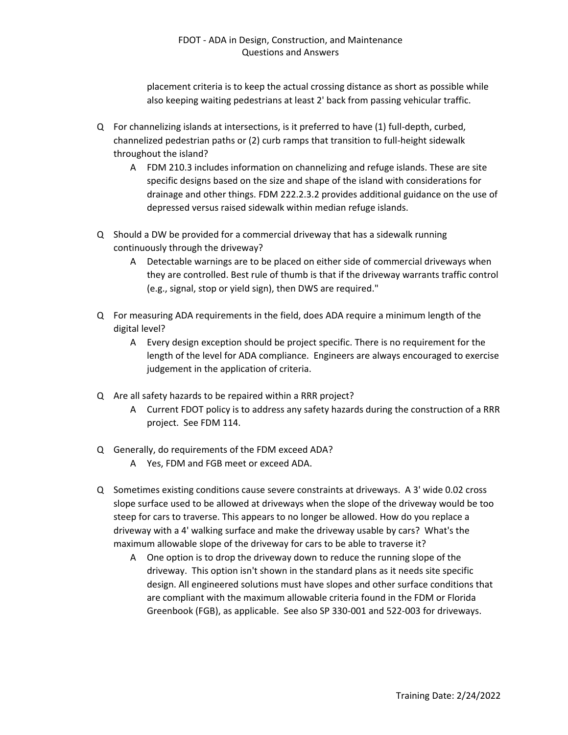placement criteria is to keep the actual crossing distance as short as possible while also keeping waiting pedestrians at least 2' back from passing vehicular traffic.

- Q For channelizing islands at intersections, is it preferred to have (1) full-depth, curbed, channelized pedestrian paths or (2) curb ramps that transition to full-height sidewalk throughout the island?
	- A FDM 210.3 includes information on channelizing and refuge islands. These are site specific designs based on the size and shape of the island with considerations for drainage and other things. FDM 222.2.3.2 provides additional guidance on the use of depressed versus raised sidewalk within median refuge islands.
- Q Should a DW be provided for a commercial driveway that has a sidewalk running continuously through the driveway?
	- A Detectable warnings are to be placed on either side of commercial driveways when they are controlled. Best rule of thumb is that if the driveway warrants traffic control (e.g., signal, stop or yield sign), then DWS are required."
- Q For measuring ADA requirements in the field, does ADA require a minimum length of the digital level?
	- A Every design exception should be project specific. There is no requirement for the length of the level for ADA compliance. Engineers are always encouraged to exercise judgement in the application of criteria.
- Q Are all safety hazards to be repaired within a RRR project?
	- A Current FDOT policy is to address any safety hazards during the construction of a RRR project. See FDM 114.
- Q Generally, do requirements of the FDM exceed ADA?
	- A Yes, FDM and FGB meet or exceed ADA.
- Q Sometimes existing conditions cause severe constraints at driveways. A 3' wide 0.02 cross slope surface used to be allowed at driveways when the slope of the driveway would be too steep for cars to traverse. This appears to no longer be allowed. How do you replace a driveway with a 4' walking surface and make the driveway usable by cars? What's the maximum allowable slope of the driveway for cars to be able to traverse it?
	- A One option is to drop the driveway down to reduce the running slope of the driveway. This option isn't shown in the standard plans as it needs site specific design. All engineered solutions must have slopes and other surface conditions that are compliant with the maximum allowable criteria found in the FDM or Florida Greenbook (FGB), as applicable. See also SP 330-001 and 522-003 for driveways.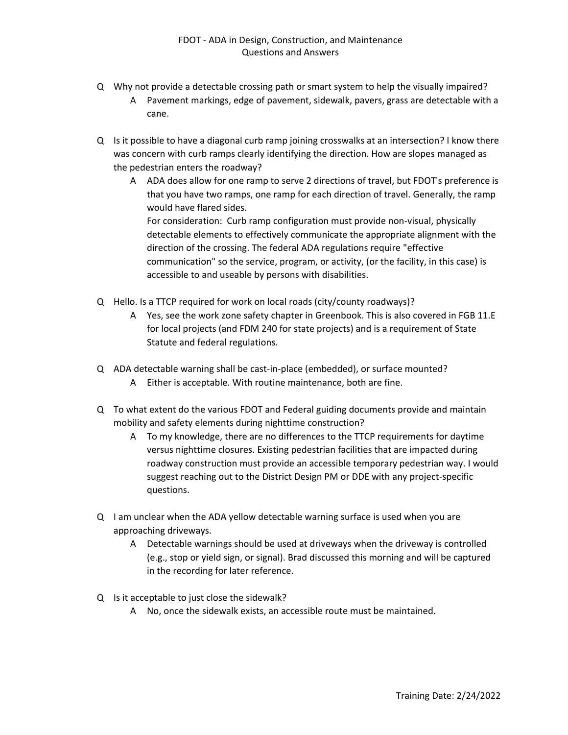- Q Why not provide a detectable crossing path or smart system to help the visually impaired?
	- A Pavement markings, edge of pavement, sidewalk, pavers, grass are detectable with a cane.
- Q Is it possible to have a diagonal curb ramp joining crosswalks at an intersection? I know there was concern with curb ramps clearly identifying the direction. How are slopes managed as the pedestrian enters the roadway?
	- A ADA does allow for one ramp to serve 2 directions of travel, but FDOT's preference is that you have two ramps, one ramp for each direction of travel. Generally, the ramp would have flared sides. For consideration: Curb ramp configuration must provide non-visual, physically detectable elements to effectively communicate the appropriate alignment with the direction of the crossing. The federal ADA regulations require "effective communication" so the service, program, or activity, (or the facility, in this case) is accessible to and useable by persons with disabilities.
- Q Hello. Is a TTCP required for work on local roads (city/county roadways)?
	- A Yes, see the work zone safety chapter in Greenbook. This is also covered in FGB 11.E for local projects (and FDM 240 for state projects) and is a requirement of State Statute and federal regulations.
- Q ADA detectable warning shall be cast-in-place (embedded), or surface mounted? A Either is acceptable. With routine maintenance, both are fine.
- Q To what extent do the various FDOT and Federal guiding documents provide and maintain mobility and safety elements during nighttime construction?
	- A To my knowledge, there are no differences to the TTCP requirements for daytime versus nighttime closures. Existing pedestrian facilities that are impacted during roadway construction must provide an accessible temporary pedestrian way. I would suggest reaching out to the District Design PM or DDE with any project-specific questions.
- Q I am unclear when the ADA yellow detectable warning surface is used when you are approaching driveways.
	- A Detectable warnings should be used at driveways when the driveway is controlled (e.g., stop or yield sign, or signal). Brad discussed this morning and will be captured in the recording for later reference.
- Q Is it acceptable to just close the sidewalk?
	- A No, once the sidewalk exists, an accessible route must be maintained.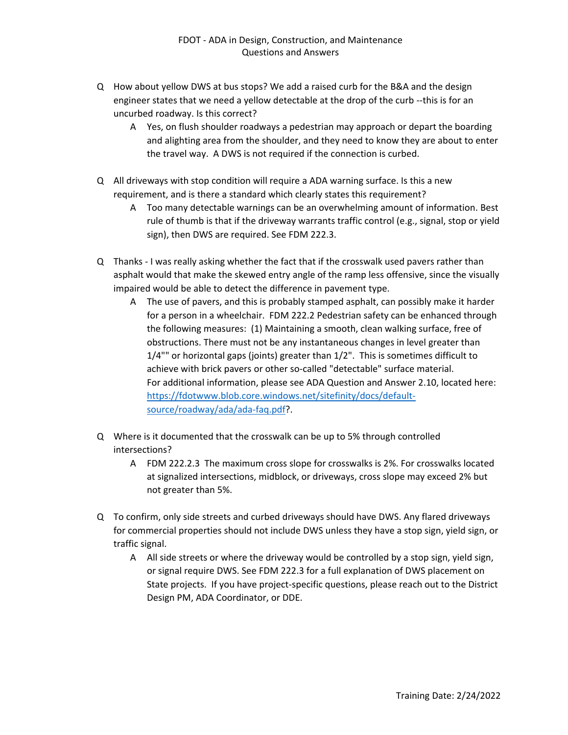- Q How about yellow DWS at bus stops? We add a raised curb for the B&A and the design engineer states that we need a yellow detectable at the drop of the curb --this is for an uncurbed roadway. Is this correct?
	- A Yes, on flush shoulder roadways a pedestrian may approach or depart the boarding and alighting area from the shoulder, and they need to know they are about to enter the travel way. A DWS is not required if the connection is curbed.
- Q All driveways with stop condition will require a ADA warning surface. Is this a new requirement, and is there a standard which clearly states this requirement?
	- A Too many detectable warnings can be an overwhelming amount of information. Best rule of thumb is that if the driveway warrants traffic control (e.g., signal, stop or yield sign), then DWS are required. See FDM 222.3.
- Q Thanks I was really asking whether the fact that if the crosswalk used pavers rather than asphalt would that make the skewed entry angle of the ramp less offensive, since the visually impaired would be able to detect the difference in pavement type.
	- A The use of pavers, and this is probably stamped asphalt, can possibly make it harder for a person in a wheelchair. FDM 222.2 Pedestrian safety can be enhanced through the following measures: (1) Maintaining a smooth, clean walking surface, free of obstructions. There must not be any instantaneous changes in level greater than 1/4"" or horizontal gaps (joints) greater than 1/2". This is sometimes difficult to achieve with brick pavers or other so-called "detectable" surface material. For additional information, please see ADA Question and Answer 2.10, located here: [https://fdotwww.blob.core.windows.net/sitefinity/docs/default](https://fdotwww.blob.core.windows.net/sitefinity/docs/default-source/roadway/ada/ada-faq.pdf)[source/roadway/ada/ada-faq.pdf?](https://fdotwww.blob.core.windows.net/sitefinity/docs/default-source/roadway/ada/ada-faq.pdf).
- Q Where is it documented that the crosswalk can be up to 5% through controlled intersections?
	- A FDM 222.2.3 The maximum cross slope for crosswalks is 2%. For crosswalks located at signalized intersections, midblock, or driveways, cross slope may exceed 2% but not greater than 5%.
- Q To confirm, only side streets and curbed driveways should have DWS. Any flared driveways for commercial properties should not include DWS unless they have a stop sign, yield sign, or traffic signal.
	- A All side streets or where the driveway would be controlled by a stop sign, yield sign, or signal require DWS. See FDM 222.3 for a full explanation of DWS placement on State projects. If you have project-specific questions, please reach out to the District Design PM, ADA Coordinator, or DDE.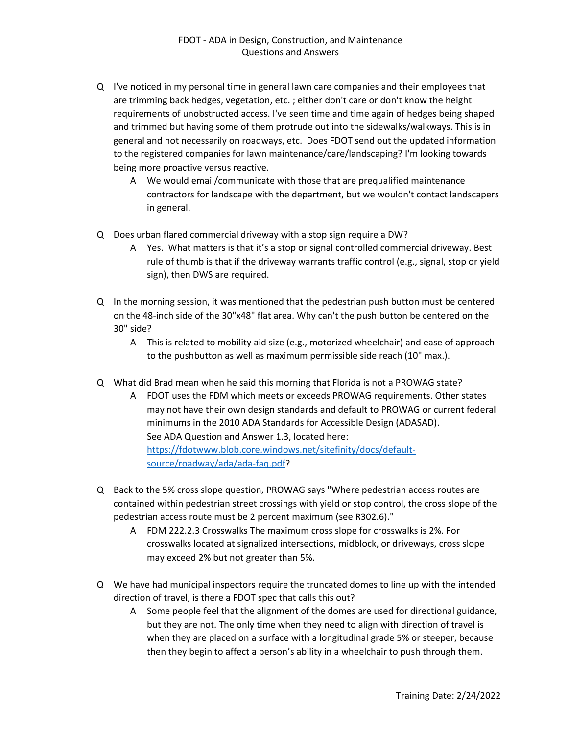- Q I've noticed in my personal time in general lawn care companies and their employees that are trimming back hedges, vegetation, etc. ; either don't care or don't know the height requirements of unobstructed access. I've seen time and time again of hedges being shaped and trimmed but having some of them protrude out into the sidewalks/walkways. This is in general and not necessarily on roadways, etc. Does FDOT send out the updated information to the registered companies for lawn maintenance/care/landscaping? I'm looking towards being more proactive versus reactive.
	- A We would email/communicate with those that are prequalified maintenance contractors for landscape with the department, but we wouldn't contact landscapers in general.
- Q Does urban flared commercial driveway with a stop sign require a DW?
	- A Yes. What matters is that it's a stop or signal controlled commercial driveway. Best rule of thumb is that if the driveway warrants traffic control (e.g., signal, stop or yield sign), then DWS are required.
- Q In the morning session, it was mentioned that the pedestrian push button must be centered on the 48-inch side of the 30"x48" flat area. Why can't the push button be centered on the 30" side?
	- A This is related to mobility aid size (e.g., motorized wheelchair) and ease of approach to the pushbutton as well as maximum permissible side reach (10" max.).
- Q What did Brad mean when he said this morning that Florida is not a PROWAG state?
	- A FDOT uses the FDM which meets or exceeds PROWAG requirements. Other states may not have their own design standards and default to PROWAG or current federal minimums in the 2010 ADA Standards for Accessible Design (ADASAD). See ADA Question and Answer 1.3, located here: [https://fdotwww.blob.core.windows.net/sitefinity/docs/default](https://fdotwww.blob.core.windows.net/sitefinity/docs/default-source/roadway/ada/ada-faq.pdf)[source/roadway/ada/ada-faq.pdf?](https://fdotwww.blob.core.windows.net/sitefinity/docs/default-source/roadway/ada/ada-faq.pdf)
- Q Back to the 5% cross slope question, PROWAG says "Where pedestrian access routes are contained within pedestrian street crossings with yield or stop control, the cross slope of the pedestrian access route must be 2 percent maximum (see R302.6)."
	- A FDM 222.2.3 Crosswalks The maximum cross slope for crosswalks is 2%. For crosswalks located at signalized intersections, midblock, or driveways, cross slope may exceed 2% but not greater than 5%.
- Q We have had municipal inspectors require the truncated domes to line up with the intended direction of travel, is there a FDOT spec that calls this out?
	- A Some people feel that the alignment of the domes are used for directional guidance, but they are not. The only time when they need to align with direction of travel is when they are placed on a surface with a longitudinal grade 5% or steeper, because then they begin to affect a person's ability in a wheelchair to push through them.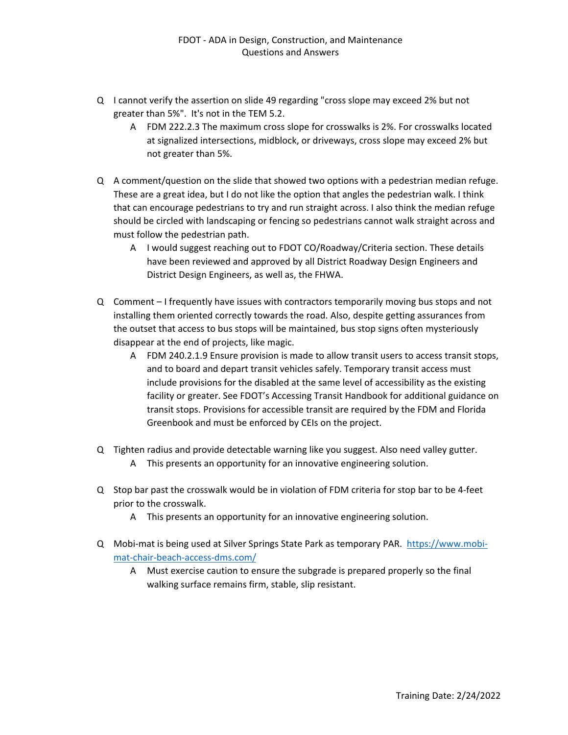- Q I cannot verify the assertion on slide 49 regarding "cross slope may exceed 2% but not greater than 5%". It's not in the TEM 5.2.
	- A FDM 222.2.3 The maximum cross slope for crosswalks is 2%. For crosswalks located at signalized intersections, midblock, or driveways, cross slope may exceed 2% but not greater than 5%.
- Q A comment/question on the slide that showed two options with a pedestrian median refuge. These are a great idea, but I do not like the option that angles the pedestrian walk. I think that can encourage pedestrians to try and run straight across. I also think the median refuge should be circled with landscaping or fencing so pedestrians cannot walk straight across and must follow the pedestrian path.
	- A I would suggest reaching out to FDOT CO/Roadway/Criteria section. These details have been reviewed and approved by all District Roadway Design Engineers and District Design Engineers, as well as, the FHWA.
- Q Comment I frequently have issues with contractors temporarily moving bus stops and not installing them oriented correctly towards the road. Also, despite getting assurances from the outset that access to bus stops will be maintained, bus stop signs often mysteriously disappear at the end of projects, like magic.
	- A FDM 240.2.1.9 Ensure provision is made to allow transit users to access transit stops, and to board and depart transit vehicles safely. Temporary transit access must include provisions for the disabled at the same level of accessibility as the existing facility or greater. See FDOT's Accessing Transit Handbook for additional guidance on transit stops. Provisions for accessible transit are required by the FDM and Florida Greenbook and must be enforced by CEIs on the project.
- Q Tighten radius and provide detectable warning like you suggest. Also need valley gutter. A This presents an opportunity for an innovative engineering solution.
- Q Stop bar past the crosswalk would be in violation of FDM criteria for stop bar to be 4-feet prior to the crosswalk.
	- A This presents an opportunity for an innovative engineering solution.
- Q Mobi-mat is being used at Silver Springs State Park as temporary PAR. [https://www.mobi](https://www.mobi-mat-chair-beach-access-dms.com/)[mat-chair-beach-access-dms.com/](https://www.mobi-mat-chair-beach-access-dms.com/)
	- A Must exercise caution to ensure the subgrade is prepared properly so the final walking surface remains firm, stable, slip resistant.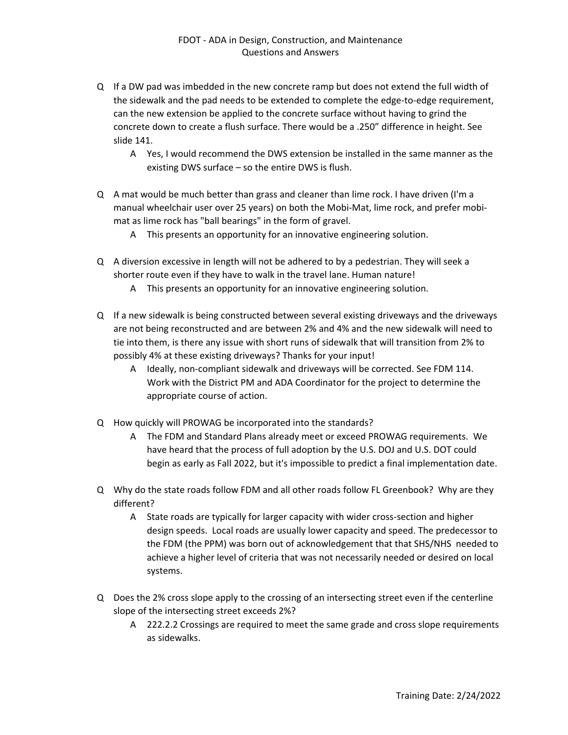- Q If a DW pad was imbedded in the new concrete ramp but does not extend the full width of the sidewalk and the pad needs to be extended to complete the edge-to-edge requirement, can the new extension be applied to the concrete surface without having to grind the concrete down to create a flush surface. There would be a .250" difference in height. See slide 141.
	- A Yes, I would recommend the DWS extension be installed in the same manner as the existing DWS surface – so the entire DWS is flush.
- Q A mat would be much better than grass and cleaner than lime rock. I have driven (I'm a manual wheelchair user over 25 years) on both the Mobi-Mat, lime rock, and prefer mobimat as lime rock has "ball bearings" in the form of gravel.
	- A This presents an opportunity for an innovative engineering solution.
- Q A diversion excessive in length will not be adhered to by a pedestrian. They will seek a shorter route even if they have to walk in the travel lane. Human nature!
	- A This presents an opportunity for an innovative engineering solution.
- Q If a new sidewalk is being constructed between several existing driveways and the driveways are not being reconstructed and are between 2% and 4% and the new sidewalk will need to tie into them, is there any issue with short runs of sidewalk that will transition from 2% to possibly 4% at these existing driveways? Thanks for your input!
	- A Ideally, non-compliant sidewalk and driveways will be corrected. See FDM 114. Work with the District PM and ADA Coordinator for the project to determine the appropriate course of action.
- Q How quickly will PROWAG be incorporated into the standards?
	- A The FDM and Standard Plans already meet or exceed PROWAG requirements. We have heard that the process of full adoption by the U.S. DOJ and U.S. DOT could begin as early as Fall 2022, but it's impossible to predict a final implementation date.
- Q Why do the state roads follow FDM and all other roads follow FL Greenbook? Why are they different?
	- A State roads are typically for larger capacity with wider cross-section and higher design speeds. Local roads are usually lower capacity and speed. The predecessor to the FDM (the PPM) was born out of acknowledgement that that SHS/NHS needed to achieve a higher level of criteria that was not necessarily needed or desired on local systems.
- Q Does the 2% cross slope apply to the crossing of an intersecting street even if the centerline slope of the intersecting street exceeds 2%?
	- A 222.2.2 Crossings are required to meet the same grade and cross slope requirements as sidewalks.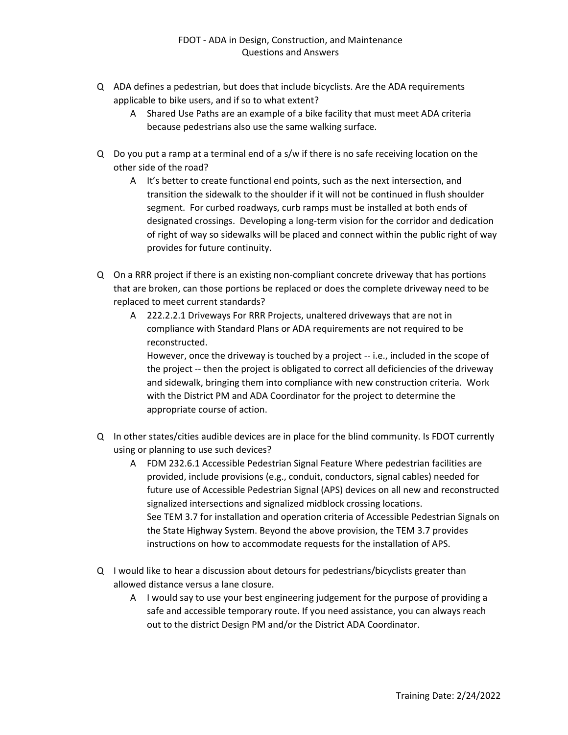- Q ADA defines a pedestrian, but does that include bicyclists. Are the ADA requirements applicable to bike users, and if so to what extent?
	- A Shared Use Paths are an example of a bike facility that must meet ADA criteria because pedestrians also use the same walking surface.
- Q Do you put a ramp at a terminal end of a s/w if there is no safe receiving location on the other side of the road?
	- A It's better to create functional end points, such as the next intersection, and transition the sidewalk to the shoulder if it will not be continued in flush shoulder segment. For curbed roadways, curb ramps must be installed at both ends of designated crossings. Developing a long-term vision for the corridor and dedication of right of way so sidewalks will be placed and connect within the public right of way provides for future continuity.
- Q On a RRR project if there is an existing non-compliant concrete driveway that has portions that are broken, can those portions be replaced or does the complete driveway need to be replaced to meet current standards?
	- A 222.2.2.1 Driveways For RRR Projects, unaltered driveways that are not in compliance with Standard Plans or ADA requirements are not required to be reconstructed.

However, once the driveway is touched by a project -- i.e., included in the scope of the project -- then the project is obligated to correct all deficiencies of the driveway and sidewalk, bringing them into compliance with new construction criteria. Work with the District PM and ADA Coordinator for the project to determine the appropriate course of action.

- Q In other states/cities audible devices are in place for the blind community. Is FDOT currently using or planning to use such devices?
	- A FDM 232.6.1 Accessible Pedestrian Signal Feature Where pedestrian facilities are provided, include provisions (e.g., conduit, conductors, signal cables) needed for future use of Accessible Pedestrian Signal (APS) devices on all new and reconstructed signalized intersections and signalized midblock crossing locations. See TEM 3.7 for installation and operation criteria of Accessible Pedestrian Signals on the State Highway System. Beyond the above provision, the TEM 3.7 provides instructions on how to accommodate requests for the installation of APS.
- Q I would like to hear a discussion about detours for pedestrians/bicyclists greater than allowed distance versus a lane closure.
	- A I would say to use your best engineering judgement for the purpose of providing a safe and accessible temporary route. If you need assistance, you can always reach out to the district Design PM and/or the District ADA Coordinator.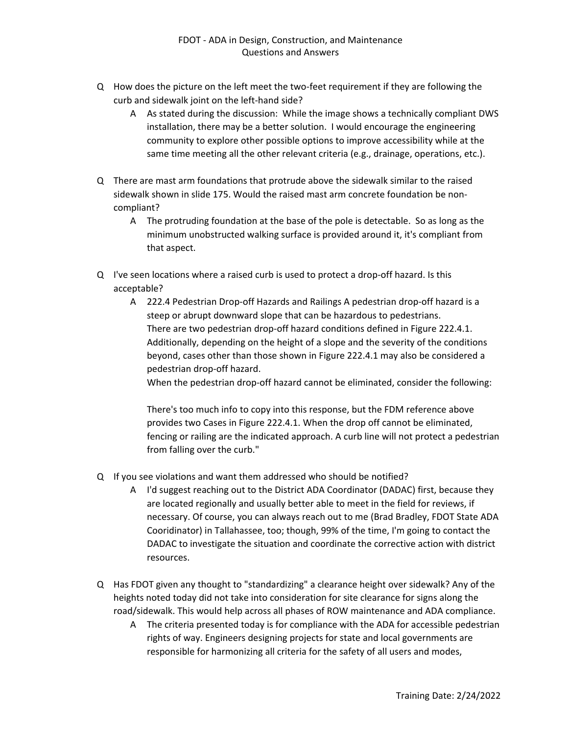- Q How does the picture on the left meet the two-feet requirement if they are following the curb and sidewalk joint on the left-hand side?
	- A As stated during the discussion: While the image shows a technically compliant DWS installation, there may be a better solution. I would encourage the engineering community to explore other possible options to improve accessibility while at the same time meeting all the other relevant criteria (e.g., drainage, operations, etc.).
- Q There are mast arm foundations that protrude above the sidewalk similar to the raised sidewalk shown in slide 175. Would the raised mast arm concrete foundation be noncompliant?
	- A The protruding foundation at the base of the pole is detectable. So as long as the minimum unobstructed walking surface is provided around it, it's compliant from that aspect.
- Q I've seen locations where a raised curb is used to protect a drop-off hazard. Is this acceptable?
	- A 222.4 Pedestrian Drop-off Hazards and Railings A pedestrian drop-off hazard is a steep or abrupt downward slope that can be hazardous to pedestrians. There are two pedestrian drop-off hazard conditions defined in Figure 222.4.1. Additionally, depending on the height of a slope and the severity of the conditions beyond, cases other than those shown in Figure 222.4.1 may also be considered a pedestrian drop-off hazard.

When the pedestrian drop-off hazard cannot be eliminated, consider the following:

There's too much info to copy into this response, but the FDM reference above provides two Cases in Figure 222.4.1. When the drop off cannot be eliminated, fencing or railing are the indicated approach. A curb line will not protect a pedestrian from falling over the curb."

- Q If you see violations and want them addressed who should be notified?
	- A I'd suggest reaching out to the District ADA Coordinator (DADAC) first, because they are located regionally and usually better able to meet in the field for reviews, if necessary. Of course, you can always reach out to me (Brad Bradley, FDOT State ADA Cooridinator) in Tallahassee, too; though, 99% of the time, I'm going to contact the DADAC to investigate the situation and coordinate the corrective action with district resources.
- Q Has FDOT given any thought to "standardizing" a clearance height over sidewalk? Any of the heights noted today did not take into consideration for site clearance for signs along the road/sidewalk. This would help across all phases of ROW maintenance and ADA compliance.
	- A The criteria presented today is for compliance with the ADA for accessible pedestrian rights of way. Engineers designing projects for state and local governments are responsible for harmonizing all criteria for the safety of all users and modes,